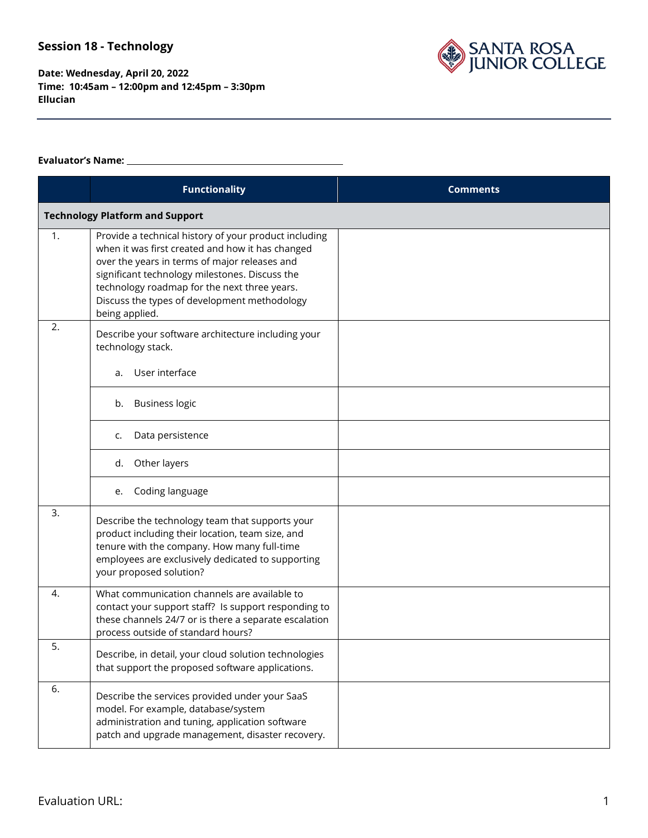SANTA ROSA<br>JUNIOR COLLEGE

**Date: Wednesday, April 20, 2022 Time: 10:45am – 12:00pm and 12:45pm – 3:30pm Ellucian** 

#### **Evaluator's Name:**

|    | <b>Functionality</b>                                                                                                                                                                                                                                                                                                           | <b>Comments</b> |
|----|--------------------------------------------------------------------------------------------------------------------------------------------------------------------------------------------------------------------------------------------------------------------------------------------------------------------------------|-----------------|
|    | <b>Technology Platform and Support</b>                                                                                                                                                                                                                                                                                         |                 |
| 1. | Provide a technical history of your product including<br>when it was first created and how it has changed<br>over the years in terms of major releases and<br>significant technology milestones. Discuss the<br>technology roadmap for the next three years.<br>Discuss the types of development methodology<br>being applied. |                 |
| 2. | Describe your software architecture including your<br>technology stack.                                                                                                                                                                                                                                                        |                 |
|    | User interface<br>a.                                                                                                                                                                                                                                                                                                           |                 |
|    | <b>Business logic</b><br>b.                                                                                                                                                                                                                                                                                                    |                 |
|    | Data persistence<br>c.                                                                                                                                                                                                                                                                                                         |                 |
|    | Other layers<br>d.                                                                                                                                                                                                                                                                                                             |                 |
|    | Coding language<br>е.                                                                                                                                                                                                                                                                                                          |                 |
| 3. | Describe the technology team that supports your<br>product including their location, team size, and<br>tenure with the company. How many full-time<br>employees are exclusively dedicated to supporting<br>your proposed solution?                                                                                             |                 |
| 4. | What communication channels are available to<br>contact your support staff? Is support responding to<br>these channels 24/7 or is there a separate escalation<br>process outside of standard hours?                                                                                                                            |                 |
| 5. | Describe, in detail, your cloud solution technologies<br>that support the proposed software applications.                                                                                                                                                                                                                      |                 |
| 6. | Describe the services provided under your SaaS<br>model. For example, database/system<br>administration and tuning, application software<br>patch and upgrade management, disaster recovery.                                                                                                                                   |                 |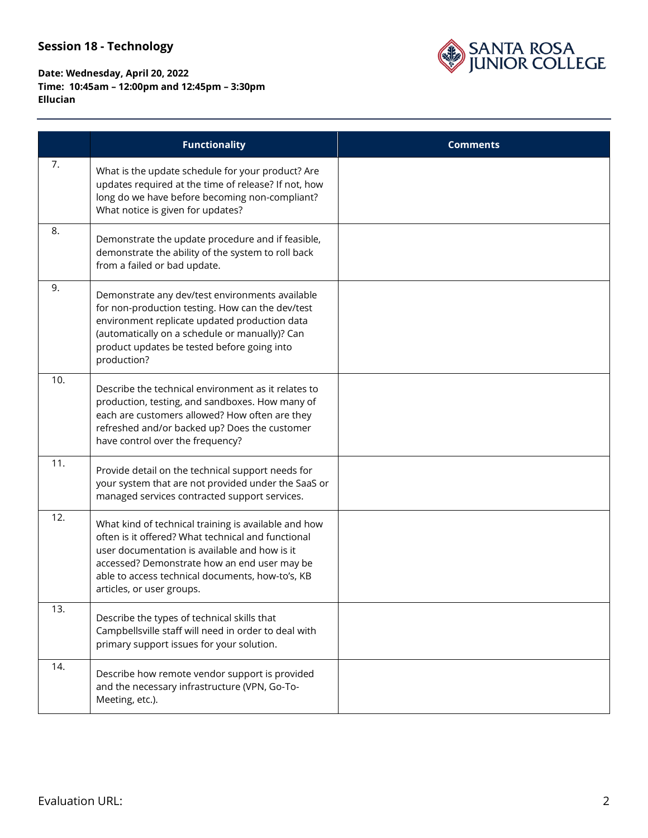# SANTA ROSA<br>JUNIOR COLLEGE

|     | <b>Functionality</b>                                                                                                                                                                                                                                                                         | <b>Comments</b> |
|-----|----------------------------------------------------------------------------------------------------------------------------------------------------------------------------------------------------------------------------------------------------------------------------------------------|-----------------|
| 7.  | What is the update schedule for your product? Are<br>updates required at the time of release? If not, how<br>long do we have before becoming non-compliant?<br>What notice is given for updates?                                                                                             |                 |
| 8.  | Demonstrate the update procedure and if feasible,<br>demonstrate the ability of the system to roll back<br>from a failed or bad update.                                                                                                                                                      |                 |
| 9.  | Demonstrate any dev/test environments available<br>for non-production testing. How can the dev/test<br>environment replicate updated production data<br>(automatically on a schedule or manually)? Can<br>product updates be tested before going into<br>production?                         |                 |
| 10. | Describe the technical environment as it relates to<br>production, testing, and sandboxes. How many of<br>each are customers allowed? How often are they<br>refreshed and/or backed up? Does the customer<br>have control over the frequency?                                                |                 |
| 11. | Provide detail on the technical support needs for<br>your system that are not provided under the SaaS or<br>managed services contracted support services.                                                                                                                                    |                 |
| 12. | What kind of technical training is available and how<br>often is it offered? What technical and functional<br>user documentation is available and how is it<br>accessed? Demonstrate how an end user may be<br>able to access technical documents, how-to's, KB<br>articles, or user groups. |                 |
| 13. | Describe the types of technical skills that<br>Campbellsville staff will need in order to deal with<br>primary support issues for your solution.                                                                                                                                             |                 |
| 14. | Describe how remote vendor support is provided<br>and the necessary infrastructure (VPN, Go-To-<br>Meeting, etc.).                                                                                                                                                                           |                 |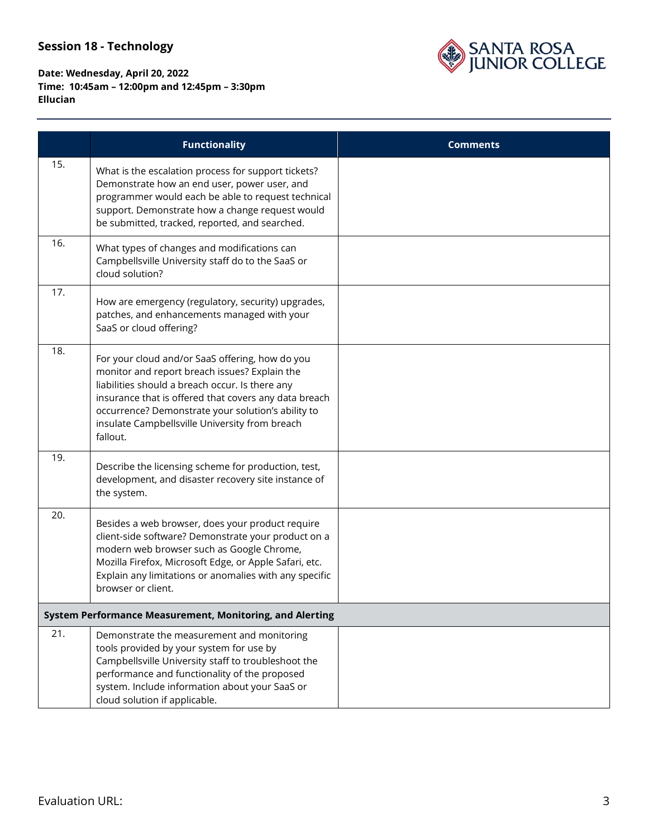# SANTA ROSA<br>JUNIOR COLLEGE

|     | <b>Functionality</b>                                                                                                                                                                                                                                                                                                             | <b>Comments</b> |
|-----|----------------------------------------------------------------------------------------------------------------------------------------------------------------------------------------------------------------------------------------------------------------------------------------------------------------------------------|-----------------|
| 15. | What is the escalation process for support tickets?<br>Demonstrate how an end user, power user, and<br>programmer would each be able to request technical<br>support. Demonstrate how a change request would<br>be submitted, tracked, reported, and searched.                                                                   |                 |
| 16. | What types of changes and modifications can<br>Campbellsville University staff do to the SaaS or<br>cloud solution?                                                                                                                                                                                                              |                 |
| 17. | How are emergency (regulatory, security) upgrades,<br>patches, and enhancements managed with your<br>SaaS or cloud offering?                                                                                                                                                                                                     |                 |
| 18. | For your cloud and/or SaaS offering, how do you<br>monitor and report breach issues? Explain the<br>liabilities should a breach occur. Is there any<br>insurance that is offered that covers any data breach<br>occurrence? Demonstrate your solution's ability to<br>insulate Campbellsville University from breach<br>fallout. |                 |
| 19. | Describe the licensing scheme for production, test,<br>development, and disaster recovery site instance of<br>the system.                                                                                                                                                                                                        |                 |
| 20. | Besides a web browser, does your product require<br>client-side software? Demonstrate your product on a<br>modern web browser such as Google Chrome,<br>Mozilla Firefox, Microsoft Edge, or Apple Safari, etc.<br>Explain any limitations or anomalies with any specific<br>browser or client.                                   |                 |
|     | System Performance Measurement, Monitoring, and Alerting                                                                                                                                                                                                                                                                         |                 |
| 21. | Demonstrate the measurement and monitoring<br>tools provided by your system for use by<br>Campbellsville University staff to troubleshoot the<br>performance and functionality of the proposed<br>system. Include information about your SaaS or<br>cloud solution if applicable.                                                |                 |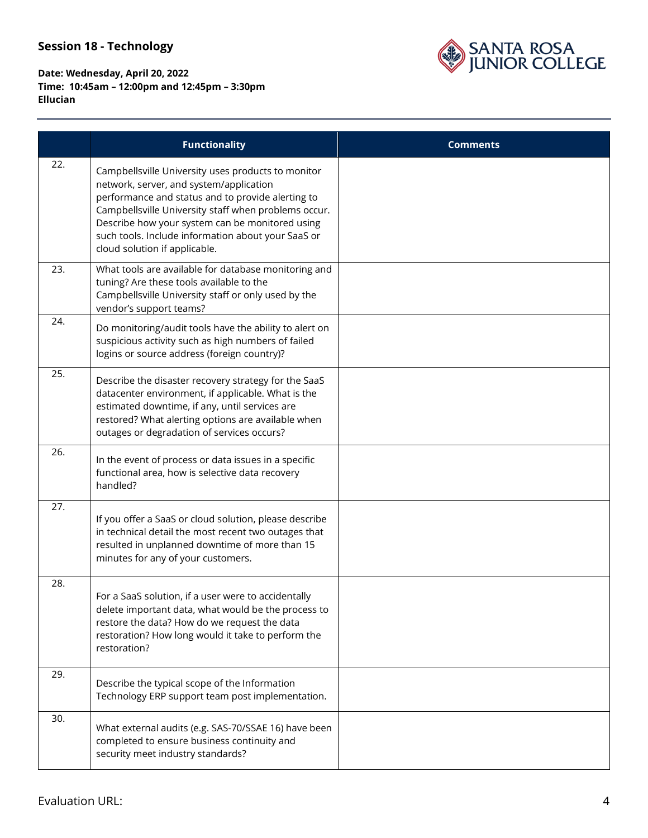

|     | <b>Functionality</b>                                                                                                                                                                                                                                                                                                                                 | <b>Comments</b> |
|-----|------------------------------------------------------------------------------------------------------------------------------------------------------------------------------------------------------------------------------------------------------------------------------------------------------------------------------------------------------|-----------------|
| 22. | Campbellsville University uses products to monitor<br>network, server, and system/application<br>performance and status and to provide alerting to<br>Campbellsville University staff when problems occur.<br>Describe how your system can be monitored using<br>such tools. Include information about your SaaS or<br>cloud solution if applicable. |                 |
| 23. | What tools are available for database monitoring and<br>tuning? Are these tools available to the<br>Campbellsville University staff or only used by the<br>vendor's support teams?                                                                                                                                                                   |                 |
| 24. | Do monitoring/audit tools have the ability to alert on<br>suspicious activity such as high numbers of failed<br>logins or source address (foreign country)?                                                                                                                                                                                          |                 |
| 25. | Describe the disaster recovery strategy for the SaaS<br>datacenter environment, if applicable. What is the<br>estimated downtime, if any, until services are<br>restored? What alerting options are available when<br>outages or degradation of services occurs?                                                                                     |                 |
| 26. | In the event of process or data issues in a specific<br>functional area, how is selective data recovery<br>handled?                                                                                                                                                                                                                                  |                 |
| 27. | If you offer a SaaS or cloud solution, please describe<br>in technical detail the most recent two outages that<br>resulted in unplanned downtime of more than 15<br>minutes for any of your customers.                                                                                                                                               |                 |
| 28. | For a SaaS solution, if a user were to accidentally<br>delete important data, what would be the process to<br>restore the data? How do we request the data<br>restoration? How long would it take to perform the<br>restoration?                                                                                                                     |                 |
| 29. | Describe the typical scope of the Information<br>Technology ERP support team post implementation.                                                                                                                                                                                                                                                    |                 |
| 30. | What external audits (e.g. SAS-70/SSAE 16) have been<br>completed to ensure business continuity and<br>security meet industry standards?                                                                                                                                                                                                             |                 |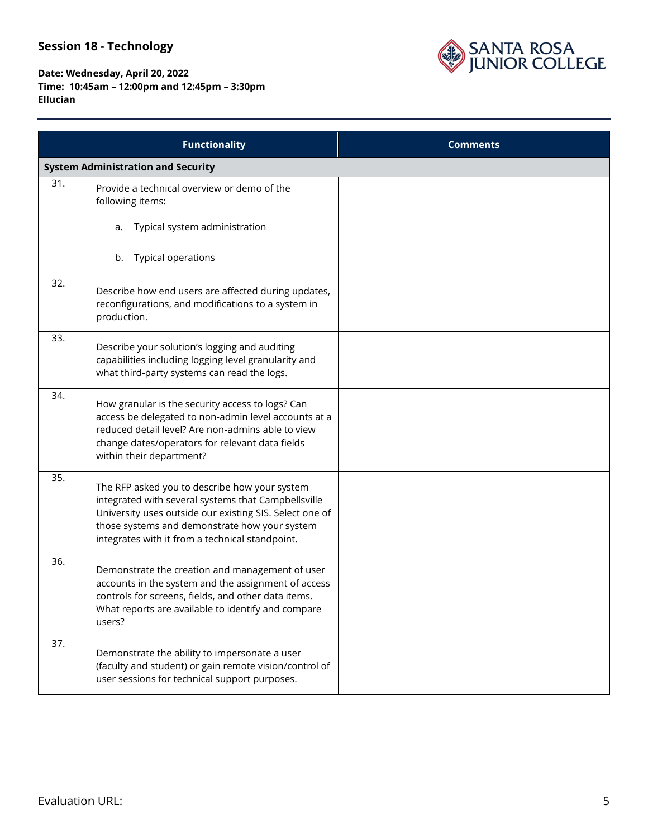

|     | <b>Functionality</b>                                                                                                                                                                                                                                                | <b>Comments</b> |
|-----|---------------------------------------------------------------------------------------------------------------------------------------------------------------------------------------------------------------------------------------------------------------------|-----------------|
|     | <b>System Administration and Security</b>                                                                                                                                                                                                                           |                 |
| 31. | Provide a technical overview or demo of the<br>following items:                                                                                                                                                                                                     |                 |
|     | Typical system administration<br>a.                                                                                                                                                                                                                                 |                 |
|     | Typical operations<br>b.                                                                                                                                                                                                                                            |                 |
| 32. | Describe how end users are affected during updates,<br>reconfigurations, and modifications to a system in<br>production.                                                                                                                                            |                 |
| 33. | Describe your solution's logging and auditing<br>capabilities including logging level granularity and<br>what third-party systems can read the logs.                                                                                                                |                 |
| 34. | How granular is the security access to logs? Can<br>access be delegated to non-admin level accounts at a<br>reduced detail level? Are non-admins able to view<br>change dates/operators for relevant data fields<br>within their department?                        |                 |
| 35. | The RFP asked you to describe how your system<br>integrated with several systems that Campbellsville<br>University uses outside our existing SIS. Select one of<br>those systems and demonstrate how your system<br>integrates with it from a technical standpoint. |                 |
| 36. | Demonstrate the creation and management of user<br>accounts in the system and the assignment of access<br>controls for screens, fields, and other data items.<br>What reports are available to identify and compare<br>users?                                       |                 |
| 37. | Demonstrate the ability to impersonate a user<br>(faculty and student) or gain remote vision/control of<br>user sessions for technical support purposes.                                                                                                            |                 |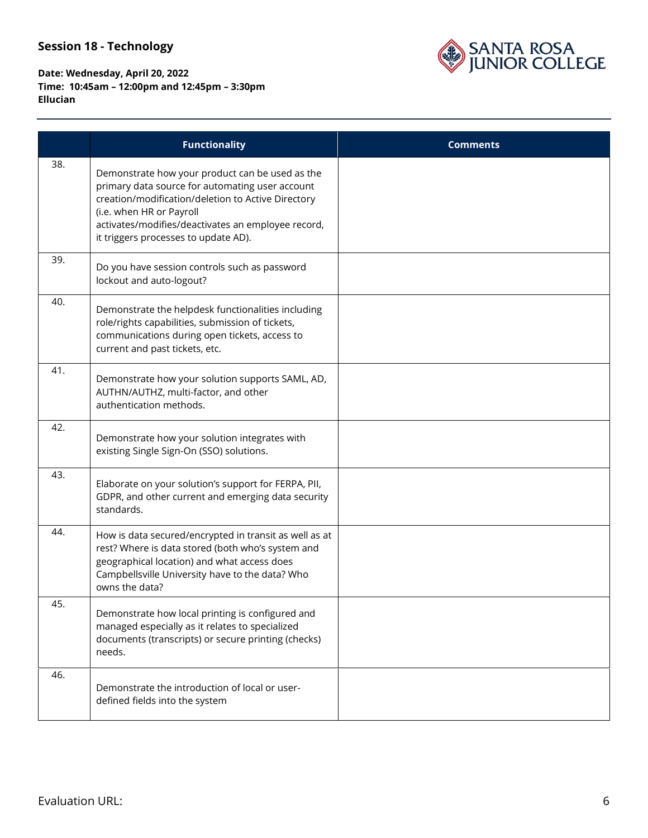

|     | <b>Functionality</b>                                                                                                                                                                                                                                                               | <b>Comments</b> |
|-----|------------------------------------------------------------------------------------------------------------------------------------------------------------------------------------------------------------------------------------------------------------------------------------|-----------------|
| 38. | Demonstrate how your product can be used as the<br>primary data source for automating user account<br>creation/modification/deletion to Active Directory<br>(i.e. when HR or Payroll<br>activates/modifies/deactivates an employee record,<br>it triggers processes to update AD). |                 |
| 39. | Do you have session controls such as password<br>lockout and auto-logout?                                                                                                                                                                                                          |                 |
| 40. | Demonstrate the helpdesk functionalities including<br>role/rights capabilities, submission of tickets,<br>communications during open tickets, access to<br>current and past tickets, etc.                                                                                          |                 |
| 41. | Demonstrate how your solution supports SAML, AD,<br>AUTHN/AUTHZ, multi-factor, and other<br>authentication methods.                                                                                                                                                                |                 |
| 42. | Demonstrate how your solution integrates with<br>existing Single Sign-On (SSO) solutions.                                                                                                                                                                                          |                 |
| 43. | Elaborate on your solution's support for FERPA, PII,<br>GDPR, and other current and emerging data security<br>standards.                                                                                                                                                           |                 |
| 44. | How is data secured/encrypted in transit as well as at<br>rest? Where is data stored (both who's system and<br>geographical location) and what access does<br>Campbellsville University have to the data? Who<br>owns the data?                                                    |                 |
| 45. | Demonstrate how local printing is configured and<br>managed especially as it relates to specialized<br>documents (transcripts) or secure printing (checks)<br>needs.                                                                                                               |                 |
| 46. | Demonstrate the introduction of local or user-<br>defined fields into the system                                                                                                                                                                                                   |                 |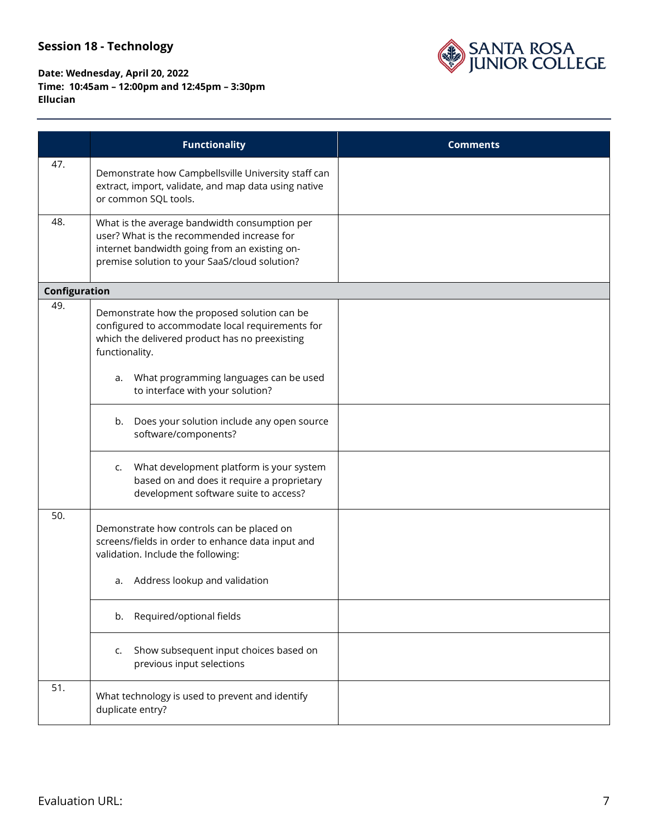

|               | <b>Functionality</b>                                                                                                                                                                          | <b>Comments</b> |
|---------------|-----------------------------------------------------------------------------------------------------------------------------------------------------------------------------------------------|-----------------|
| 47.           | Demonstrate how Campbellsville University staff can<br>extract, import, validate, and map data using native<br>or common SQL tools.                                                           |                 |
| 48.           | What is the average bandwidth consumption per<br>user? What is the recommended increase for<br>internet bandwidth going from an existing on-<br>premise solution to your SaaS/cloud solution? |                 |
| Configuration |                                                                                                                                                                                               |                 |
| 49.           | Demonstrate how the proposed solution can be<br>configured to accommodate local requirements for<br>which the delivered product has no preexisting<br>functionality.                          |                 |
|               | What programming languages can be used<br>a.<br>to interface with your solution?                                                                                                              |                 |
|               | Does your solution include any open source<br>b.<br>software/components?                                                                                                                      |                 |
|               | What development platform is your system<br>C.<br>based on and does it require a proprietary<br>development software suite to access?                                                         |                 |
| 50.           | Demonstrate how controls can be placed on<br>screens/fields in order to enhance data input and<br>validation. Include the following:<br>Address lookup and validation<br>a.                   |                 |
|               | Required/optional fields<br>b.                                                                                                                                                                |                 |
|               | Show subsequent input choices based on<br>c.<br>previous input selections                                                                                                                     |                 |
| 51.           | What technology is used to prevent and identify<br>duplicate entry?                                                                                                                           |                 |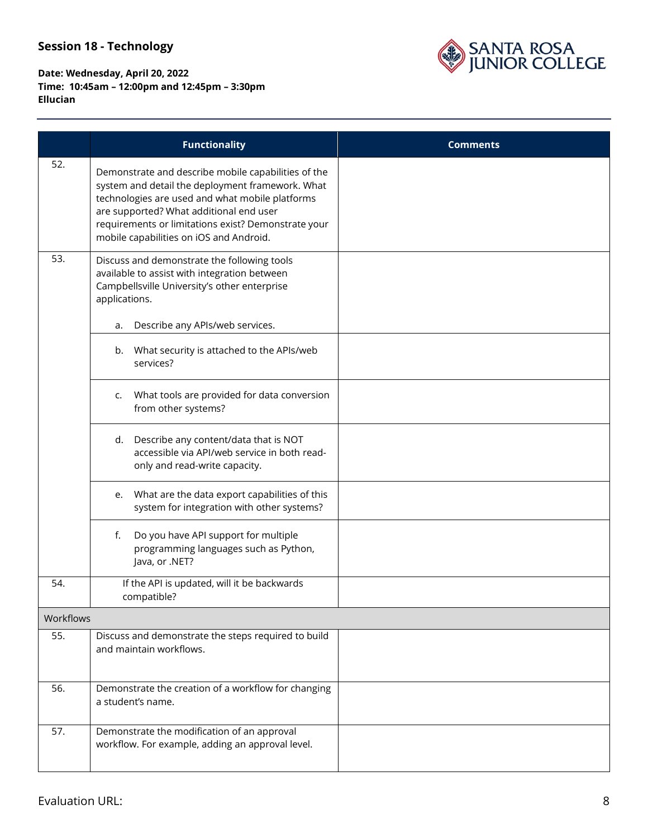## SANTA ROSA<br>JUNIOR COLLEGE

|           | <b>Functionality</b>                                                                                                                                                                                                                                                                                    | <b>Comments</b> |
|-----------|---------------------------------------------------------------------------------------------------------------------------------------------------------------------------------------------------------------------------------------------------------------------------------------------------------|-----------------|
| 52.       | Demonstrate and describe mobile capabilities of the<br>system and detail the deployment framework. What<br>technologies are used and what mobile platforms<br>are supported? What additional end user<br>requirements or limitations exist? Demonstrate your<br>mobile capabilities on iOS and Android. |                 |
| 53.       | Discuss and demonstrate the following tools<br>available to assist with integration between<br>Campbellsville University's other enterprise<br>applications.                                                                                                                                            |                 |
|           | Describe any APIs/web services.<br>a.                                                                                                                                                                                                                                                                   |                 |
|           | What security is attached to the APIs/web<br>b.<br>services?                                                                                                                                                                                                                                            |                 |
|           | What tools are provided for data conversion<br>c.<br>from other systems?                                                                                                                                                                                                                                |                 |
|           | d. Describe any content/data that is NOT<br>accessible via API/web service in both read-<br>only and read-write capacity.                                                                                                                                                                               |                 |
|           | What are the data export capabilities of this<br>e.<br>system for integration with other systems?                                                                                                                                                                                                       |                 |
|           | Do you have API support for multiple<br>f.<br>programming languages such as Python,<br>Java, or .NET?                                                                                                                                                                                                   |                 |
| 54.       | If the API is updated, will it be backwards<br>compatible?                                                                                                                                                                                                                                              |                 |
| Workflows |                                                                                                                                                                                                                                                                                                         |                 |
| 55.       | Discuss and demonstrate the steps required to build<br>and maintain workflows.                                                                                                                                                                                                                          |                 |
| 56.       | Demonstrate the creation of a workflow for changing<br>a student's name.                                                                                                                                                                                                                                |                 |
| 57.       | Demonstrate the modification of an approval<br>workflow. For example, adding an approval level.                                                                                                                                                                                                         |                 |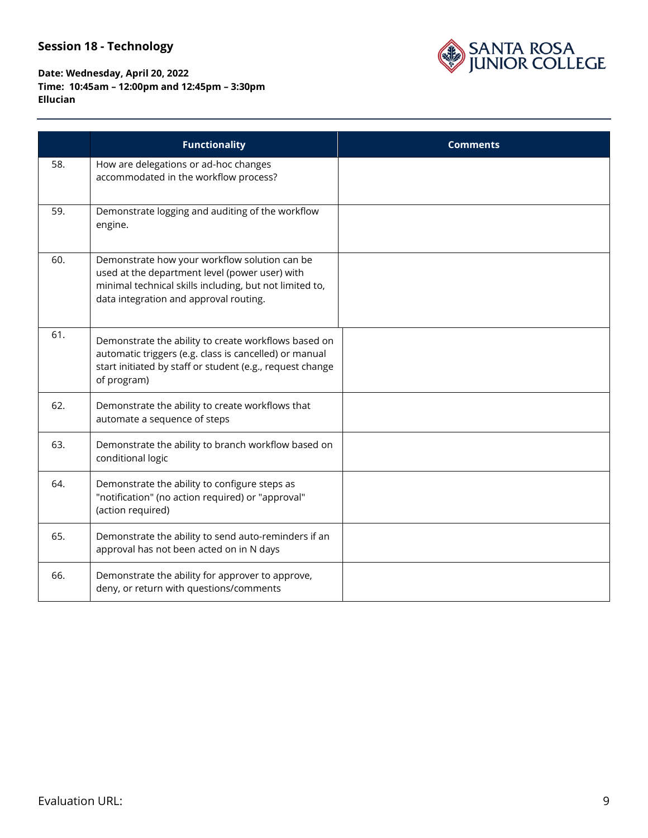

|     | <b>Functionality</b>                                                                                                                                                                                 | <b>Comments</b> |
|-----|------------------------------------------------------------------------------------------------------------------------------------------------------------------------------------------------------|-----------------|
| 58. | How are delegations or ad-hoc changes<br>accommodated in the workflow process?                                                                                                                       |                 |
| 59. | Demonstrate logging and auditing of the workflow<br>engine.                                                                                                                                          |                 |
| 60. | Demonstrate how your workflow solution can be<br>used at the department level (power user) with<br>minimal technical skills including, but not limited to,<br>data integration and approval routing. |                 |
| 61. | Demonstrate the ability to create workflows based on<br>automatic triggers (e.g. class is cancelled) or manual<br>start initiated by staff or student (e.g., request change<br>of program)           |                 |
| 62. | Demonstrate the ability to create workflows that<br>automate a sequence of steps                                                                                                                     |                 |
| 63. | Demonstrate the ability to branch workflow based on<br>conditional logic                                                                                                                             |                 |
| 64. | Demonstrate the ability to configure steps as<br>"notification" (no action required) or "approval"<br>(action required)                                                                              |                 |
| 65. | Demonstrate the ability to send auto-reminders if an<br>approval has not been acted on in N days                                                                                                     |                 |
| 66. | Demonstrate the ability for approver to approve,<br>deny, or return with questions/comments                                                                                                          |                 |